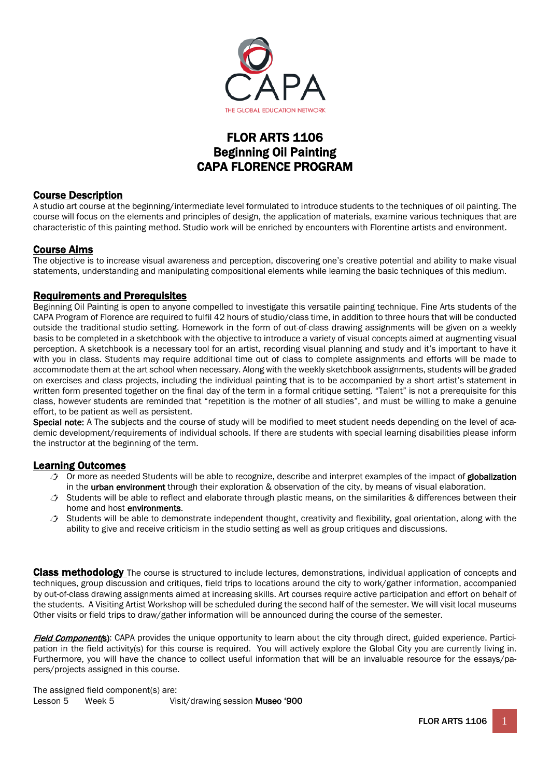

# FLOR ARTS 1106 Beginning Oil Painting CAPA FLORENCE PROGRAM

### Course Description

A studio art course at the beginning/intermediate level formulated to introduce students to the techniques of oil painting. The course will focus on the elements and principles of design, the application of materials, examine various techniques that are characteristic of this painting method. Studio work will be enriched by encounters with Florentine artists and environment.

### Course Aims

The objective is to increase visual awareness and perception, discovering one's creative potential and ability to make visual statements, understanding and manipulating compositional elements while learning the basic techniques of this medium.

### Requirements and Prerequisites

Beginning Oil Painting is open to anyone compelled to investigate this versatile painting technique. Fine Arts students of the CAPA Program of Florence are required to fulfil 42 hours of studio/class time, in addition to three hours that will be conducted outside the traditional studio setting. Homework in the form of out-of-class drawing assignments will be given on a weekly basis to be completed in a sketchbook with the objective to introduce a variety of visual concepts aimed at augmenting visual perception. A sketchbook is a necessary tool for an artist, recording visual planning and study and it's important to have it with you in class. Students may require additional time out of class to complete assignments and efforts will be made to accommodate them at the art school when necessary. Along with the weekly sketchbook assignments, students will be graded on exercises and class projects, including the individual painting that is to be accompanied by a short artist's statement in written form presented together on the final day of the term in a formal critique setting. "Talent" is not a prerequisite for this class, however students are reminded that "repetition is the mother of all studies", and must be willing to make a genuine effort, to be patient as well as persistent.

Special note: A The subjects and the course of study will be modified to meet student needs depending on the level of academic development/requirements of individual schools. If there are students with special learning disabilities please inform the instructor at the beginning of the term.

### Learning Outcomes

- Or more as needed Students will be able to recognize, describe and interpret examples of the impact of globalization in the urban environment through their exploration & observation of the city, by means of visual elaboration.
- $\rightarrow$  Students will be able to reflect and elaborate through plastic means, on the similarities & differences between their home and host environments.
- $\triangle$  Students will be able to demonstrate independent thought, creativity and flexibility, goal orientation, along with the ability to give and receive criticism in the studio setting as well as group critiques and discussions.

Class methodology The course is structured to include lectures, demonstrations, individual application of concepts and techniques, group discussion and critiques, field trips to locations around the city to work/gather information, accompanied by out-of-class drawing assignments aimed at increasing skills. Art courses require active participation and effort on behalf of the students. A Visiting Artist Workshop will be scheduled during the second half of the semester. We will visit local museums Other visits or field trips to draw/gather information will be announced during the course of the semester.

Field Component(s): CAPA provides the unique opportunity to learn about the city through direct, guided experience. Participation in the field activity(s) for this course is required. You will actively explore the Global City you are currently living in. Furthermore, you will have the chance to collect useful information that will be an invaluable resource for the essays/papers/projects assigned in this course.

The assigned field component(s) are: Lesson 5 Week 5 Visit/drawing session Museo '900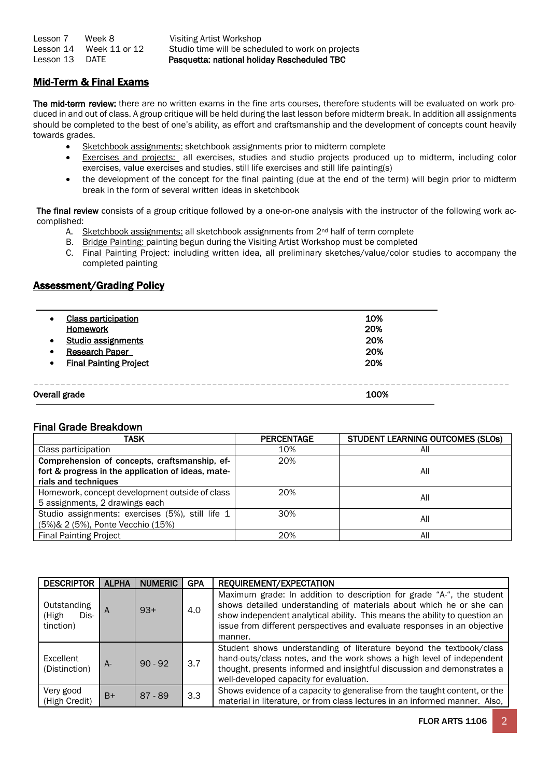| Lesson 7  | Week 8        |
|-----------|---------------|
| Lesson 14 | Week 11 or 12 |
| Lesson 13 | <b>DATE</b>   |

Visiting Artist Workshop Studio time will be scheduled to work on projects Pasquetta: national holiday Rescheduled TBC

# Mid-Term & Final Exams

The mid-term review: there are no written exams in the fine arts courses, therefore students will be evaluated on work produced in and out of class. A group critique will be held during the last lesson before midterm break. In addition all assignments should be completed to the best of one's ability, as effort and craftsmanship and the development of concepts count heavily towards grades.

- Sketchbook assignments: sketchbook assignments prior to midterm complete
- Exercises and projects: all exercises, studies and studio projects produced up to midterm, including color exercises, value exercises and studies, still life exercises and still life painting(s)
- the development of the concept for the final painting (due at the end of the term) will begin prior to midterm break in the form of several written ideas in sketchbook

The final review consists of a group critique followed by a one-on-one analysis with the instructor of the following work accomplished:

- A. Sketchbook assignments: all sketchbook assignments from 2<sup>nd</sup> half of term complete
- B. Bridge Painting: painting begun during the Visiting Artist Workshop must be completed

C. Final Painting Project: including written idea, all preliminary sketches/value/color studies to accompany the completed painting

### Assessment/Grading Policy

| $\bullet$ | <b>Class participation</b>                   | 10%        |
|-----------|----------------------------------------------|------------|
| $\bullet$ | <b>Homework</b><br><b>Studio assignments</b> | 20%<br>20% |
| $\bullet$ | <b>Research Paper</b>                        | 20%        |
| $\bullet$ | <b>Final Painting Project</b>                | 20%        |
|           |                                              |            |
|           | Overall grade                                | 100%       |

### Final Grade Breakdown

| TASK                                               | <b>PERCENTAGE</b> | <b>STUDENT LEARNING OUTCOMES (SLOS)</b> |
|----------------------------------------------------|-------------------|-----------------------------------------|
| Class participation                                | 10%               | All                                     |
| Comprehension of concepts, craftsmanship, ef-      | 20%               |                                         |
| fort & progress in the application of ideas, mate- |                   | All                                     |
| rials and techniques                               |                   |                                         |
| Homework, concept development outside of class     | 20%               | All                                     |
| 5 assignments, 2 drawings each                     |                   |                                         |
| Studio assignments: exercises (5%), still life 1   | 30%               | All                                     |
| (5%) & 2 (5%), Ponte Vecchio (15%)                 |                   |                                         |
| <b>Final Painting Project</b>                      | 20%               | All                                     |

| <b>DESCRIPTOR</b>                         | <b>ALPHA</b> | <b>NUMERIC</b> | <b>GPA</b> | REQUIREMENT/EXPECTATION                                                                                                                                                                                                                                                                                           |
|-------------------------------------------|--------------|----------------|------------|-------------------------------------------------------------------------------------------------------------------------------------------------------------------------------------------------------------------------------------------------------------------------------------------------------------------|
| Outstanding<br>(High<br>Dis-<br>tinction) |              | $93+$          | 4.0        | Maximum grade: In addition to description for grade "A-", the student<br>shows detailed understanding of materials about which he or she can<br>show independent analytical ability. This means the ability to question an<br>issue from different perspectives and evaluate responses in an objective<br>manner. |
| Excellent<br>(Distinction)                | $A-$         | $90 - 92$      | 3.7        | Student shows understanding of literature beyond the textbook/class<br>hand-outs/class notes, and the work shows a high level of independent<br>thought, presents informed and insightful discussion and demonstrates a<br>well-developed capacity for evaluation.                                                |
| Very good<br>(High Credit)                | $B+$         | $87 - 89$      | 3.3        | Shows evidence of a capacity to generalise from the taught content, or the<br>material in literature, or from class lectures in an informed manner. Also,                                                                                                                                                         |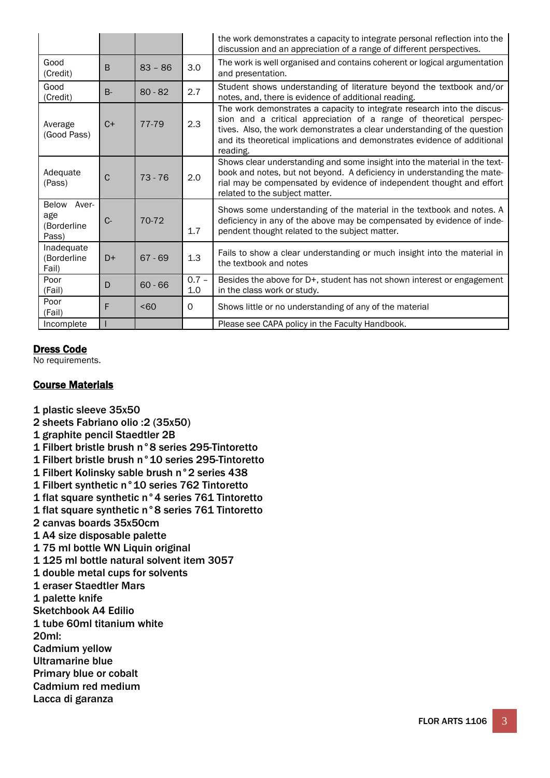|                                               |             |           |                | the work demonstrates a capacity to integrate personal reflection into the<br>discussion and an appreciation of a range of different perspectives.                                                                                                                                                                 |
|-----------------------------------------------|-------------|-----------|----------------|--------------------------------------------------------------------------------------------------------------------------------------------------------------------------------------------------------------------------------------------------------------------------------------------------------------------|
| Good<br>(Credit)                              | B           | $83 - 86$ | 3.0            | The work is well organised and contains coherent or logical argumentation<br>and presentation.                                                                                                                                                                                                                     |
| Good<br>(Credit)                              | $B -$       | $80 - 82$ | 2.7            | Student shows understanding of literature beyond the textbook and/or<br>notes, and, there is evidence of additional reading.                                                                                                                                                                                       |
| Average<br>(Good Pass)                        | $C+$        | 77-79     | 2.3            | The work demonstrates a capacity to integrate research into the discus-<br>sion and a critical appreciation of a range of theoretical perspec-<br>tives. Also, the work demonstrates a clear understanding of the question<br>and its theoretical implications and demonstrates evidence of additional<br>reading. |
| Adequate<br>(Pass)                            | $\mathsf C$ | $73 - 76$ | 2.0            | Shows clear understanding and some insight into the material in the text-<br>book and notes, but not beyond. A deficiency in understanding the mate-<br>rial may be compensated by evidence of independent thought and effort<br>related to the subject matter.                                                    |
| Aver-<br>Below<br>age<br>(Borderline<br>Pass) | $C -$       | 70-72     | 1.7            | Shows some understanding of the material in the textbook and notes. A<br>deficiency in any of the above may be compensated by evidence of inde-<br>pendent thought related to the subject matter.                                                                                                                  |
| Inadequate<br>(Borderline<br>Fail)            | $D+$        | $67 - 69$ | 1.3            | Fails to show a clear understanding or much insight into the material in<br>the textbook and notes                                                                                                                                                                                                                 |
| Poor<br>(Fail)                                | D           | $60 - 66$ | $0.7 -$<br>1.0 | Besides the above for D+, student has not shown interest or engagement<br>in the class work or study.                                                                                                                                                                                                              |
| Poor<br>(Fail)                                | F           | < 60      | 0              | Shows little or no understanding of any of the material                                                                                                                                                                                                                                                            |
| Incomplete                                    |             |           |                | Please see CAPA policy in the Faculty Handbook.                                                                                                                                                                                                                                                                    |

# Dress Code

No requirements.

# Course Materials

- 1 plastic sleeve 35x50
- 2 sheets Fabriano olio :2 (35x50)
- 1 graphite pencil Staedtler 2B
- 1 Filbert bristle brush n°8 series 295-Tintoretto
- 1 Filbert bristle brush n°10 series 295-Tintoretto
- 1 Filbert Kolinsky sable brush n°2 series 438
- 1 Filbert synthetic n°10 series 762 Tintoretto
- 1 flat square synthetic n°4 series 761 Tintoretto
- 1 flat square synthetic n°8 series 761 Tintoretto
- 2 canvas boards 35x50cm
- 1 A4 size disposable palette
- 1 75 ml bottle WN Liquin original
- 1 125 ml bottle natural solvent item 3057
- 1 double metal cups for solvents
- 1 eraser Staedtler Mars
- 1 palette knife
- Sketchbook A4 Edilio
- 1 tube 60ml titanium white
- 20ml:
- Cadmium yellow
- Ultramarine blue
- Primary blue or cobalt
- Cadmium red medium
- Lacca di garanza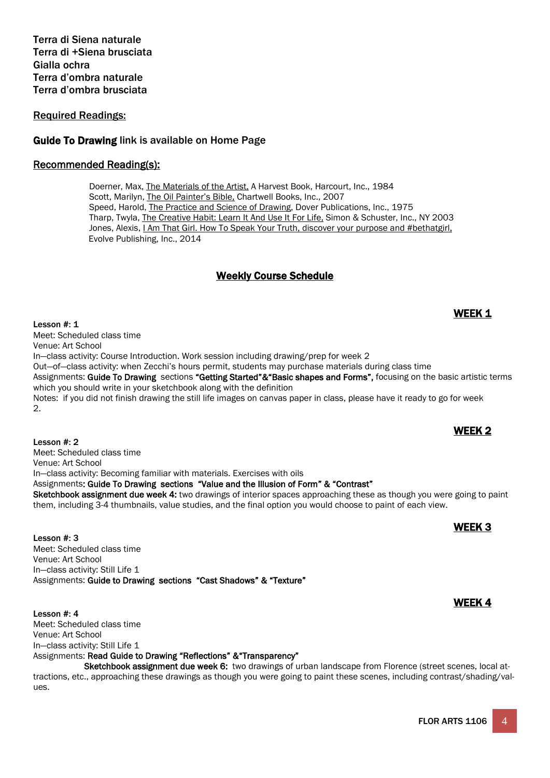Terra di Siena naturale Terra di +Siena brusciata Gialla ochra Terra d'ombra naturale Terra d'ombra brusciata

Required Readings:

# Guide To Drawing link is available on Home Page

### Recommended Reading(s):

Doerner, Max, The Materials of the Artist, A Harvest Book, Harcourt, Inc., 1984 Scott, Marilyn, The Oil Painter's Bible, Chartwell Books, Inc., 2007 Speed, Harold, The Practice and Science of Drawing, Dover Publications, Inc., 1975 Tharp, Twyla, The Creative Habit: Learn It And Use It For Life, Simon & Schuster, Inc., NY 2003 Jones, Alexis, I Am That Girl. How To Speak Your Truth, discover your purpose and #bethatgirl, Evolve Publishing, Inc., 2014

# Weekly Course Schedule

Lesson #: 1  $\sqrt{A}$ Meet: Scheduled class time Venue: Art School In—class activity: Course Introduction. Work session including drawing/prep for week 2 Out—of—class activity: when Zecchi's hours permit, students may purchase materials during class time Assignments: Guide To Drawing sections "Getting Started"&"Basic shapes and Forms", focusing on the basic artistic terms which you should write in your sketchbook along with the definition Notes: if you did not finish drawing the still life images on canvas paper in class, please have it ready to go for week  $\mathcal{L}$ 

Meet: Scheduled class time Venue: Art School In—class activity: Becoming familiar with materials. Exercises with oils Assignments: Guide To Drawing sections "Value and the Illusion of Form" & "Contrast" Sketchbook assignment due week 4: two drawings of interior spaces approaching these as though you were going to paint them, including 3-4 thumbnails, value studies, and the final option you would choose to paint of each view.

Lesson #: 3 **WEEK 3** Meet: Scheduled class time Venue: Art School In—class activity: Still Life 1 Assignments: Guide to Drawing sections "Cast Shadows" & "Texture"

Lesson #: 4 **WEEK 4** Lesson #: 4 Meet: Scheduled class time Venue: Art School In—class activity: Still Life 1 Assignments: Read Guide to Drawing "Reflections" & "Transparency"

Sketchbook assignment due week 6: two drawings of urban landscape from Florence (street scenes, local attractions, etc., approaching these drawings as though you were going to paint these scenes, including contrast/shading/values.

# Lesson #: 2 **WEEK 2** Lesson #: 2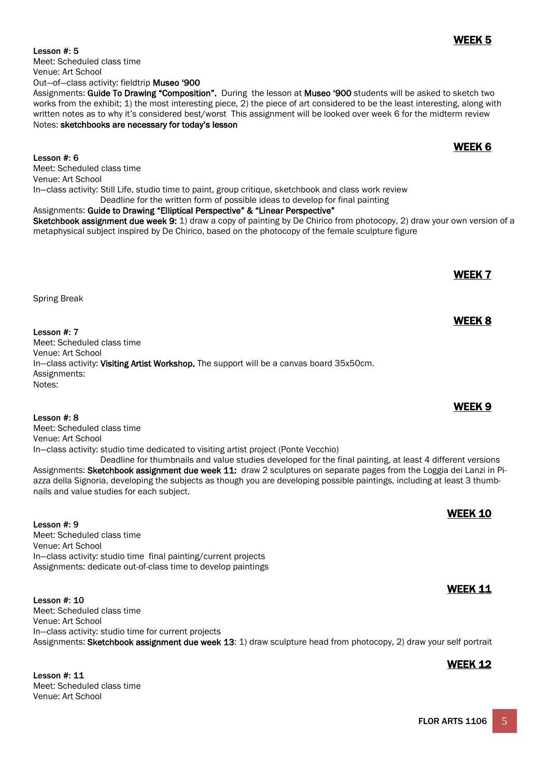WEEK 5 Lesson #: 5

Meet: Scheduled class time Venue: Art School Out—of—class activity: fieldtrip Museo '900

Notes: sketchbooks are necessary for today's lesson

WEEK 6 Lesson #: 6 Meet: Scheduled class time Venue: Art School In—class activity: Still Life, studio time to paint, group critique, sketchbook and class work review Deadline for the written form of possible ideas to develop for final painting Assignments: Guide to Drawing "Elliptical Perspective" & "Linear Perspective"

Sketchbook assignment due week 9: 1) draw a copy of painting by De Chirico from photocopy, 2) draw your own version of a metaphysical subject inspired by De Chirico, based on the photocopy of the female sculpture figure

Assignments: Guide To Drawing "Composition". During the lesson at Museo '900 students will be asked to sketch two works from the exhibit; 1) the most interesting piece, 2) the piece of art considered to be the least interesting, along with written notes as to why it's considered best/worst This assignment will be looked over week 6 for the midterm review

Spring Break

WEEK 8 Lesson #: 7 Meet: Scheduled class time Venue: Art School In-class activity: Visiting Artist Workshop. The support will be a canvas board 35x50cm. Assignments: Notes:

WEEK 9 Lesson #: 8 Meet: Scheduled class time Venue: Art School In—class activity: studio time dedicated to visiting artist project (Ponte Vecchio) Deadline for thumbnails and value studies developed for the final painting, at least 4 different versions

Assignments: Sketchbook assignment due week 11: draw 2 sculptures on separate pages from the Loggia dei Lanzi in Piazza della Signoria, developing the subjects as though you are developing possible paintings, including at least 3 thumbnails and value studies for each subject.

WEEK 10 Lesson #: 9 Meet: Scheduled class time Venue: Art School In—class activity: studio time final painting/current projects Assignments: dedicate out-of-class time to develop paintings

Lesson #: 10 **WEEK 11** Meet: Scheduled class time Venue: Art School In—class activity: studio time for current projects Assignments: Sketchbook assignment due week 13: 1) draw sculpture head from photocopy, 2) draw your self portrait

# Lesson #: 11 **WEEK 12** Meet: Scheduled class time Venue: Art School

WEEK 7

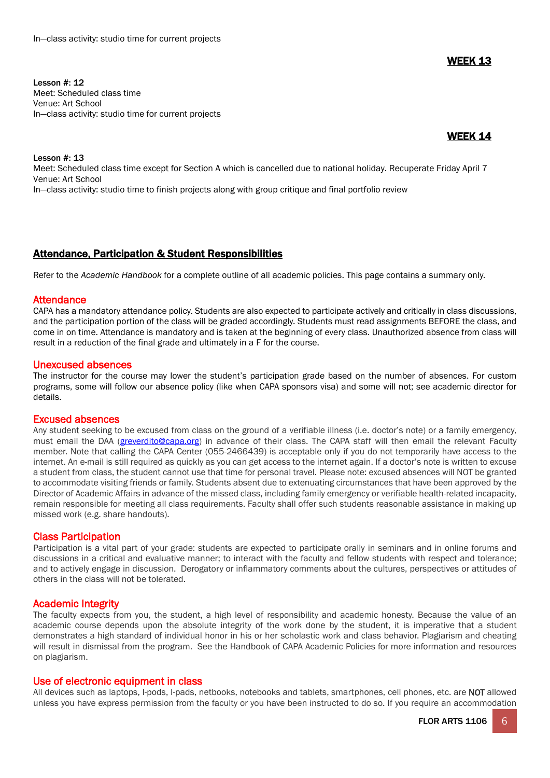WEEK 13

Lesson #: 12 Meet: Scheduled class time Venue: Art School In—class activity: studio time for current projects

## WEEK 14

Lesson #: 13

Meet: Scheduled class time except for Section A which is cancelled due to national holiday. Recuperate Friday April 7 Venue: Art School In—class activity: studio time to finish projects along with group critique and final portfolio review

### Attendance, Participation & Student Responsibilities

Refer to the *Academic Handbook* for a complete outline of all academic policies. This page contains a summary only.

### **Attendance**

CAPA has a mandatory attendance policy. Students are also expected to participate actively and critically in class discussions, and the participation portion of the class will be graded accordingly. Students must read assignments BEFORE the class, and come in on time. Attendance is mandatory and is taken at the beginning of every class. Unauthorized absence from class will result in a reduction of the final grade and ultimately in a F for the course.

### Unexcused absences

The instructor for the course may lower the student's participation grade based on the number of absences. For custom programs, some will follow our absence policy (like when CAPA sponsors visa) and some will not; see academic director for details.

### Excused absences

Any student seeking to be excused from class on the ground of a verifiable illness (i.e. doctor's note) or a family emergency, must email the DAA [\(greverdito@capa.org\)](mailto:greverdito@capa.org) in advance of their class. The CAPA staff will then email the relevant Faculty member. Note that calling the CAPA Center (055-2466439) is acceptable only if you do not temporarily have access to the internet. An e-mail is still required as quickly as you can get access to the internet again. If a doctor's note is written to excuse a student from class, the student cannot use that time for personal travel. Please note: excused absences will NOT be granted to accommodate visiting friends or family. Students absent due to extenuating circumstances that have been approved by the Director of Academic Affairs in advance of the missed class, including family emergency or verifiable health-related incapacity, remain responsible for meeting all class requirements. Faculty shall offer such students reasonable assistance in making up missed work (e.g. share handouts).

### Class Participation

Participation is a vital part of your grade: students are expected to participate orally in seminars and in online forums and discussions in a critical and evaluative manner; to interact with the faculty and fellow students with respect and tolerance; and to actively engage in discussion. Derogatory or inflammatory comments about the cultures, perspectives or attitudes of others in the class will not be tolerated.

### Academic Integrity

The faculty expects from you, the student, a high level of responsibility and academic honesty. Because the value of an academic course depends upon the absolute integrity of the work done by the student, it is imperative that a student demonstrates a high standard of individual honor in his or her scholastic work and class behavior. Plagiarism and cheating will result in dismissal from the program. See the Handbook of CAPA Academic Policies for more information and resources on plagiarism.

### Use of electronic equipment in class

All devices such as laptops, I-pods, I-pads, netbooks, notebooks and tablets, smartphones, cell phones, etc. are NOT allowed unless you have express permission from the faculty or you have been instructed to do so. If you require an accommodation